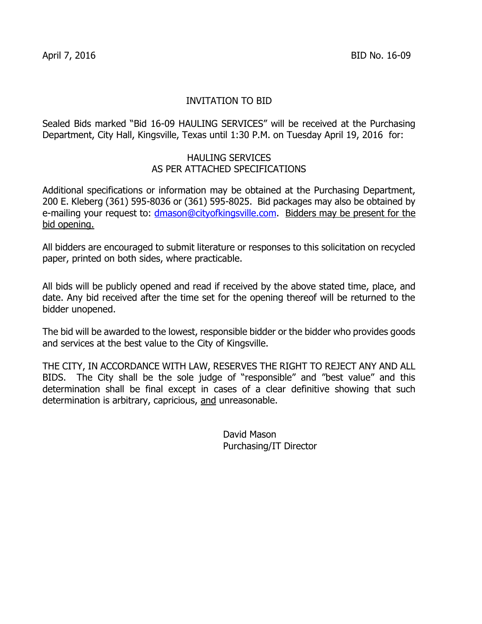## INVITATION TO BID

Sealed Bids marked "Bid 16-09 HAULING SERVICES" will be received at the Purchasing Department, City Hall, Kingsville, Texas until 1:30 P.M. on Tuesday April 19, 2016 for:

### HAULING SERVICES AS PER ATTACHED SPECIFICATIONS

Additional specifications or information may be obtained at the Purchasing Department, 200 E. Kleberg (361) 595-8036 or (361) 595-8025. Bid packages may also be obtained by e-mailing your request to: dmason@cityofkingsville.com. Bidders may be present for the bid opening.

All bidders are encouraged to submit literature or responses to this solicitation on recycled paper, printed on both sides, where practicable.

All bids will be publicly opened and read if received by the above stated time, place, and date. Any bid received after the time set for the opening thereof will be returned to the bidder unopened.

The bid will be awarded to the lowest, responsible bidder or the bidder who provides goods and services at the best value to the City of Kingsville.

THE CITY, IN ACCORDANCE WITH LAW, RESERVES THE RIGHT TO REJECT ANY AND ALL BIDS. The City shall be the sole judge of "responsible" and "best value" and this determination shall be final except in cases of a clear definitive showing that such determination is arbitrary, capricious, and unreasonable.

> David Mason Purchasing/IT Director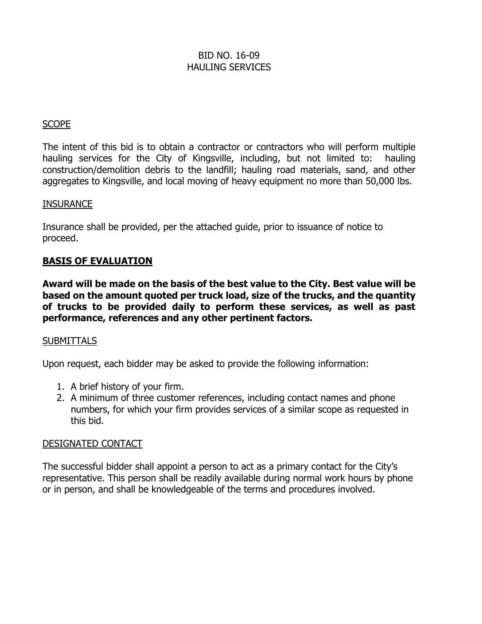### BID NO. 16-09 HAULING SERVICES

### SCOPE

The intent of this bid is to obtain a contractor or contractors who will perform multiple hauling services for the City of Kingsville, including, but not limited to: hauling construction/demolition debris to the landfill; hauling road materials, sand, and other aggregates to Kingsville, and local moving of heavy equipment no more than 50,000 lbs.

#### **INSURANCE**

Insurance shall be provided, per the attached guide, prior to issuance of notice to proceed.

## **BASIS OF EVALUATION**

**Award will be made on the basis of the best value to the City. Best value will be based on the amount quoted per truck load, size of the trucks, and the quantity of trucks to be provided daily to perform these services, as well as past performance, references and any other pertinent factors.**

#### SUBMITTALS

Upon request, each bidder may be asked to provide the following information:

- 1. A brief history of your firm.
- 2. A minimum of three customer references, including contact names and phone numbers, for which your firm provides services of a similar scope as requested in this bid.

#### DESIGNATED CONTACT

The successful bidder shall appoint a person to act as a primary contact for the City's representative. This person shall be readily available during normal work hours by phone or in person, and shall be knowledgeable of the terms and procedures involved.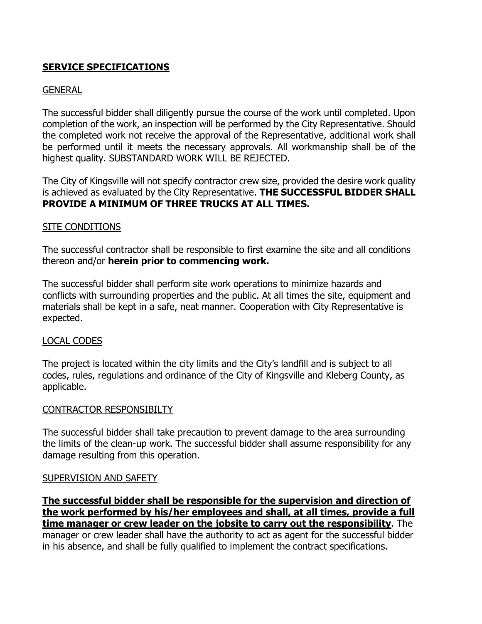# **SERVICE SPECIFICATIONS**

## **GENERAL**

The successful bidder shall diligently pursue the course of the work until completed. Upon completion of the work, an inspection will be performed by the City Representative. Should the completed work not receive the approval of the Representative, additional work shall be performed until it meets the necessary approvals. All workmanship shall be of the highest quality. SUBSTANDARD WORK WILL BE REJECTED.

The City of Kingsville will not specify contractor crew size, provided the desire work quality is achieved as evaluated by the City Representative. **THE SUCCESSFUL BIDDER SHALL PROVIDE A MINIMUM OF THREE TRUCKS AT ALL TIMES.**

### SITE CONDITIONS

The successful contractor shall be responsible to first examine the site and all conditions thereon and/or **herein prior to commencing work.**

The successful bidder shall perform site work operations to minimize hazards and conflicts with surrounding properties and the public. At all times the site, equipment and materials shall be kept in a safe, neat manner. Cooperation with City Representative is expected.

## LOCAL CODES

The project is located within the city limits and the City's landfill and is subject to all codes, rules, regulations and ordinance of the City of Kingsville and Kleberg County, as applicable.

#### CONTRACTOR RESPONSIBILTY

The successful bidder shall take precaution to prevent damage to the area surrounding the limits of the clean-up work. The successful bidder shall assume responsibility for any damage resulting from this operation.

#### SUPERVISION AND SAFETY

**The successful bidder shall be responsible for the supervision and direction of the work performed by his/her employees and shall, at all times, provide a full time manager or crew leader on the jobsite to carry out the responsibility**. The manager or crew leader shall have the authority to act as agent for the successful bidder in his absence, and shall be fully qualified to implement the contract specifications.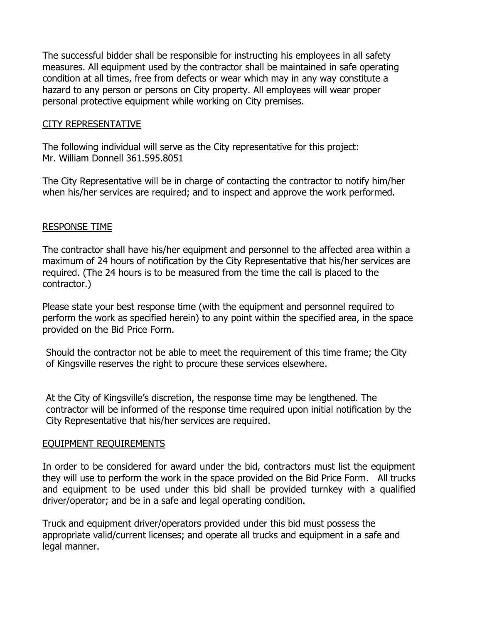The successful bidder shall be responsible for instructing his employees in all safety measures. All equipment used by the contractor shall be maintained in safe operating condition at all times, free from defects or wear which may in any way constitute a hazard to any person or persons on City property. All employees will wear proper personal protective equipment while working on City premises.

### CITY REPRESENTATIVE

The following individual will serve as the City representative for this project: Mr. William Donnell 361.595.8051

The City Representative will be in charge of contacting the contractor to notify him/her when his/her services are required; and to inspect and approve the work performed.

#### RESPONSE TIME

The contractor shall have his/her equipment and personnel to the affected area within a maximum of 24 hours of notification by the City Representative that his/her services are required. (The 24 hours is to be measured from the time the call is placed to the contractor.)

Please state your best response time (with the equipment and personnel required to perform the work as specified herein) to any point within the specified area, in the space provided on the Bid Price Form.

Should the contractor not be able to meet the requirement of this time frame; the City of Kingsville reserves the right to procure these services elsewhere.

At the City of Kingsville's discretion, the response time may be lengthened. The contractor will be informed of the response time required upon initial notification by the City Representative that his/her services are required.

#### EQUIPMENT REQUIREMENTS

In order to be considered for award under the bid, contractors must list the equipment they will use to perform the work in the space provided on the Bid Price Form. All trucks and equipment to be used under this bid shall be provided turnkey with a qualified driver/operator; and be in a safe and legal operating condition.

Truck and equipment driver/operators provided under this bid must possess the appropriate valid/current licenses; and operate all trucks and equipment in a safe and legal manner.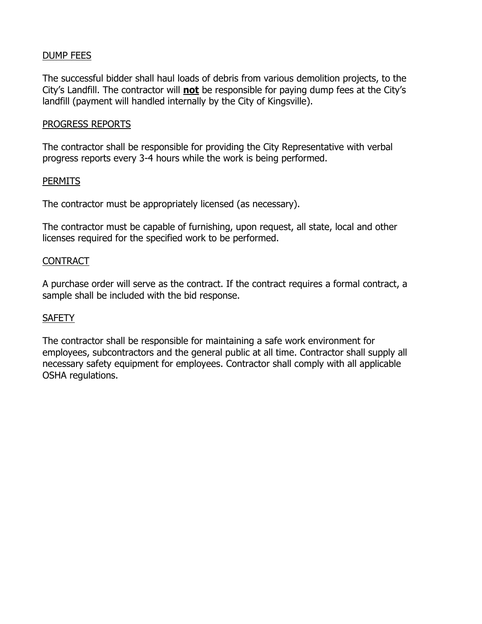## DUMP FEES

The successful bidder shall haul loads of debris from various demolition projects, to the City's Landfill. The contractor will **not** be responsible for paying dump fees at the City's landfill (payment will handled internally by the City of Kingsville).

### PROGRESS REPORTS

The contractor shall be responsible for providing the City Representative with verbal progress reports every 3-4 hours while the work is being performed.

### PERMITS

The contractor must be appropriately licensed (as necessary).

The contractor must be capable of furnishing, upon request, all state, local and other licenses required for the specified work to be performed.

#### **CONTRACT**

A purchase order will serve as the contract. If the contract requires a formal contract, a sample shall be included with the bid response.

## **SAFETY**

The contractor shall be responsible for maintaining a safe work environment for employees, subcontractors and the general public at all time. Contractor shall supply all necessary safety equipment for employees. Contractor shall comply with all applicable OSHA regulations.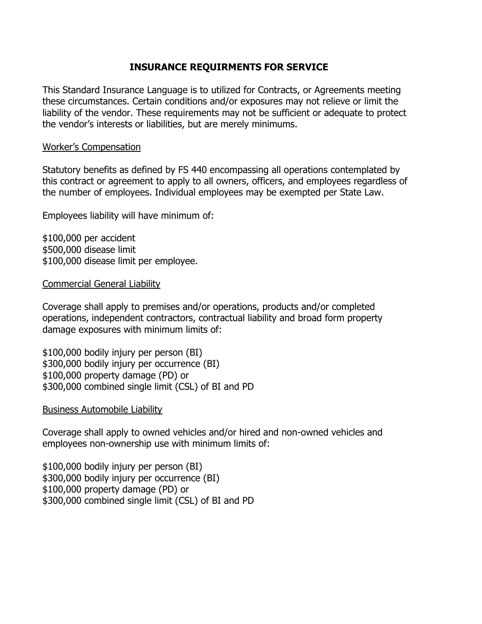## **INSURANCE REQUIRMENTS FOR SERVICE**

This Standard Insurance Language is to utilized for Contracts, or Agreements meeting these circumstances. Certain conditions and/or exposures may not relieve or limit the liability of the vendor. These requirements may not be sufficient or adequate to protect the vendor's interests or liabilities, but are merely minimums.

### Worker's Compensation

Statutory benefits as defined by FS 440 encompassing all operations contemplated by this contract or agreement to apply to all owners, officers, and employees regardless of the number of employees. Individual employees may be exempted per State Law.

Employees liability will have minimum of:

\$100,000 per accident \$500,000 disease limit \$100,000 disease limit per employee.

Commercial General Liability

Coverage shall apply to premises and/or operations, products and/or completed operations, independent contractors, contractual liability and broad form property damage exposures with minimum limits of:

\$100,000 bodily injury per person (BI) \$300,000 bodily injury per occurrence (BI) \$100,000 property damage (PD) or \$300,000 combined single limit (CSL) of BI and PD

Business Automobile Liability

Coverage shall apply to owned vehicles and/or hired and non-owned vehicles and employees non-ownership use with minimum limits of:

\$100,000 bodily injury per person (BI) \$300,000 bodily injury per occurrence (BI) \$100,000 property damage (PD) or \$300,000 combined single limit (CSL) of BI and PD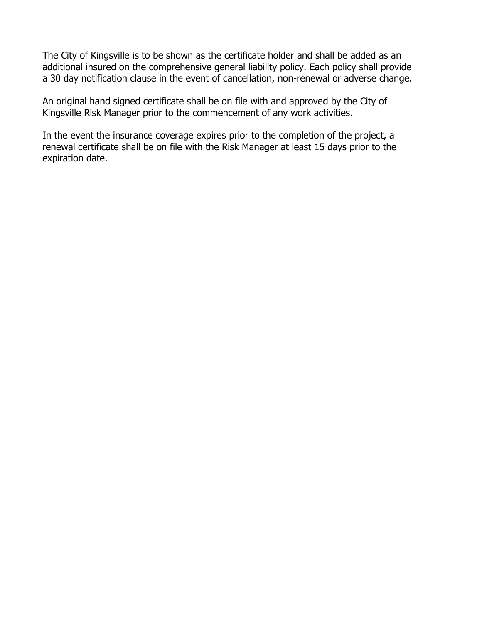The City of Kingsville is to be shown as the certificate holder and shall be added as an additional insured on the comprehensive general liability policy. Each policy shall provide a 30 day notification clause in the event of cancellation, non-renewal or adverse change.

An original hand signed certificate shall be on file with and approved by the City of Kingsville Risk Manager prior to the commencement of any work activities.

In the event the insurance coverage expires prior to the completion of the project, a renewal certificate shall be on file with the Risk Manager at least 15 days prior to the expiration date.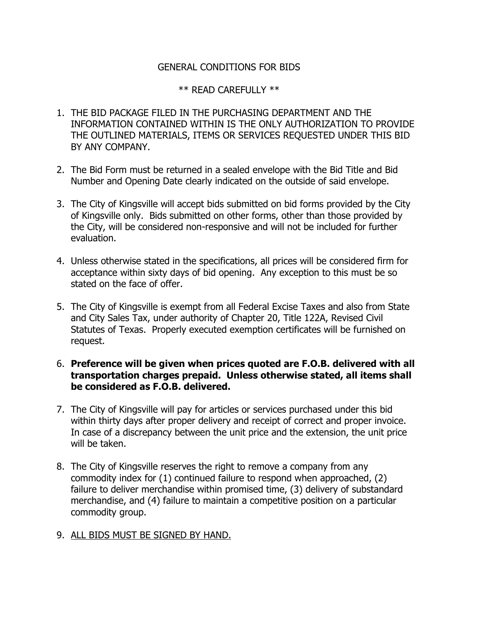## GENERAL CONDITIONS FOR BIDS

### \*\* READ CAREFULLY \*\*

- 1. THE BID PACKAGE FILED IN THE PURCHASING DEPARTMENT AND THE INFORMATION CONTAINED WITHIN IS THE ONLY AUTHORIZATION TO PROVIDE THE OUTLINED MATERIALS, ITEMS OR SERVICES REQUESTED UNDER THIS BID BY ANY COMPANY.
- 2. The Bid Form must be returned in a sealed envelope with the Bid Title and Bid Number and Opening Date clearly indicated on the outside of said envelope.
- 3. The City of Kingsville will accept bids submitted on bid forms provided by the City of Kingsville only. Bids submitted on other forms, other than those provided by the City, will be considered non-responsive and will not be included for further evaluation.
- 4. Unless otherwise stated in the specifications, all prices will be considered firm for acceptance within sixty days of bid opening. Any exception to this must be so stated on the face of offer.
- 5. The City of Kingsville is exempt from all Federal Excise Taxes and also from State and City Sales Tax, under authority of Chapter 20, Title 122A, Revised Civil Statutes of Texas. Properly executed exemption certificates will be furnished on request.

### 6. **Preference will be given when prices quoted are F.O.B. delivered with all transportation charges prepaid. Unless otherwise stated, all items shall be considered as F.O.B. delivered.**

- 7. The City of Kingsville will pay for articles or services purchased under this bid within thirty days after proper delivery and receipt of correct and proper invoice. In case of a discrepancy between the unit price and the extension, the unit price will be taken.
- 8. The City of Kingsville reserves the right to remove a company from any commodity index for (1) continued failure to respond when approached, (2) failure to deliver merchandise within promised time, (3) delivery of substandard merchandise, and (4) failure to maintain a competitive position on a particular commodity group.
- 9. ALL BIDS MUST BE SIGNED BY HAND.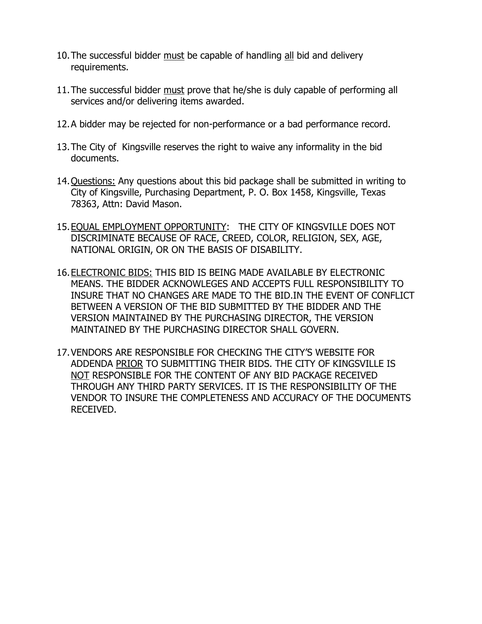- 10.The successful bidder must be capable of handling all bid and delivery requirements.
- 11.The successful bidder must prove that he/she is duly capable of performing all services and/or delivering items awarded.
- 12.A bidder may be rejected for non-performance or a bad performance record.
- 13.The City of Kingsville reserves the right to waive any informality in the bid documents.
- 14.Questions: Any questions about this bid package shall be submitted in writing to City of Kingsville, Purchasing Department, P. O. Box 1458, Kingsville, Texas 78363, Attn: David Mason.
- 15.EQUAL EMPLOYMENT OPPORTUNITY: THE CITY OF KINGSVILLE DOES NOT DISCRIMINATE BECAUSE OF RACE, CREED, COLOR, RELIGION, SEX, AGE, NATIONAL ORIGIN, OR ON THE BASIS OF DISABILITY.
- 16.ELECTRONIC BIDS: THIS BID IS BEING MADE AVAILABLE BY ELECTRONIC MEANS. THE BIDDER ACKNOWLEGES AND ACCEPTS FULL RESPONSIBILITY TO INSURE THAT NO CHANGES ARE MADE TO THE BID.IN THE EVENT OF CONFLICT BETWEEN A VERSION OF THE BID SUBMITTED BY THE BIDDER AND THE VERSION MAINTAINED BY THE PURCHASING DIRECTOR, THE VERSION MAINTAINED BY THE PURCHASING DIRECTOR SHALL GOVERN.
- 17.VENDORS ARE RESPONSIBLE FOR CHECKING THE CITY'S WEBSITE FOR ADDENDA PRIOR TO SUBMITTING THEIR BIDS. THE CITY OF KINGSVILLE IS NOT RESPONSIBLE FOR THE CONTENT OF ANY BID PACKAGE RECEIVED THROUGH ANY THIRD PARTY SERVICES. IT IS THE RESPONSIBILITY OF THE VENDOR TO INSURE THE COMPLETENESS AND ACCURACY OF THE DOCUMENTS RECEIVED.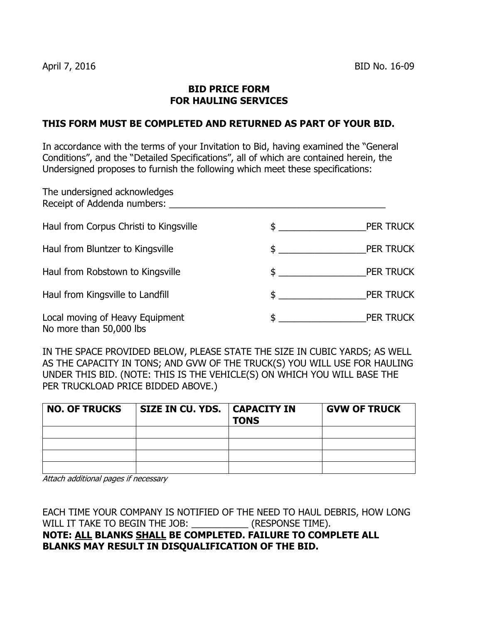## **BID PRICE FORM FOR HAULING SERVICES**

#### **THIS FORM MUST BE COMPLETED AND RETURNED AS PART OF YOUR BID.**

In accordance with the terms of your Invitation to Bid, having examined the "General Conditions", and the "Detailed Specifications", all of which are contained herein, the Undersigned proposes to furnish the following which meet these specifications:

| The undersigned acknowledges<br>Receipt of Addenda numbers: |                             |                  |
|-------------------------------------------------------------|-----------------------------|------------------|
| Haul from Corpus Christi to Kingsville                      | $\updownarrow$ $\downarrow$ | <b>PER TRUCK</b> |
| Haul from Bluntzer to Kingsville                            | $\updownarrow$ $\downarrow$ | <b>PER TRUCK</b> |
| Haul from Robstown to Kingsville                            | $\updownarrow$ $\downarrow$ | PER TRUCK        |
| Haul from Kingsville to Landfill                            | $\frac{1}{2}$               | PER TRUCK        |
| Local moving of Heavy Equipment<br>No more than 50,000 lbs  | $\updownarrow$              | <b>PER TRUCK</b> |

IN THE SPACE PROVIDED BELOW, PLEASE STATE THE SIZE IN CUBIC YARDS; AS WELL AS THE CAPACITY IN TONS; AND GVW OF THE TRUCK(S) YOU WILL USE FOR HAULING UNDER THIS BID. (NOTE: THIS IS THE VEHICLE(S) ON WHICH YOU WILL BASE THE PER TRUCKLOAD PRICE BIDDED ABOVE.)

| <b>NO. OF TRUCKS</b> | SIZE IN CU. YDS.   CAPACITY IN | <b>TONS</b> | <b>GVW OF TRUCK</b> |
|----------------------|--------------------------------|-------------|---------------------|
|                      |                                |             |                     |
|                      |                                |             |                     |
|                      |                                |             |                     |
|                      |                                |             |                     |

Attach additional pages if necessary

EACH TIME YOUR COMPANY IS NOTIFIED OF THE NEED TO HAUL DEBRIS, HOW LONG WILL IT TAKE TO BEGIN THE JOB: \_\_\_\_\_\_\_\_\_\_\_\_\_(RESPONSE TIME). **NOTE: ALL BLANKS SHALL BE COMPLETED. FAILURE TO COMPLETE ALL BLANKS MAY RESULT IN DISQUALIFICATION OF THE BID.**